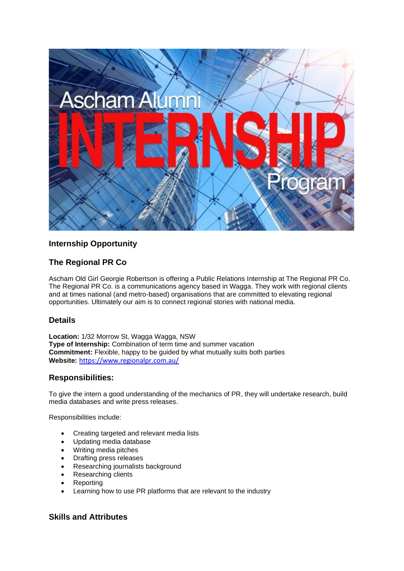

# **Internship Opportunity**

# **The Regional PR Co**

Ascham Old Girl Georgie Robertson is offering a Public Relations Internship at The Regional PR Co. The Regional PR Co. is a communications agency based in Wagga. They work with regional clients and at times national (and metro-based) organisations that are committed to elevating regional opportunities. Ultimately our aim is to connect regional stories with national media.

## **Details**

**Location:** 1/32 Morrow St, Wagga Wagga, NSW **Type of Internship:** Combination of term time and summer vacation **Commitment:** Flexible, happy to be guided by what mutually suits both parties **Website:** <https://www.regionalpr.com.au/>

## **Responsibilities:**

To give the intern a good understanding of the mechanics of PR, they will undertake research, build media databases and write press releases.

Responsibilities include:

- Creating targeted and relevant media lists
- Updating media database
- Writing media pitches
- Drafting press releases
- Researching journalists background
- Researching clients
- **Reporting**
- Learning how to use PR platforms that are relevant to the industry

#### **Skills and Attributes**